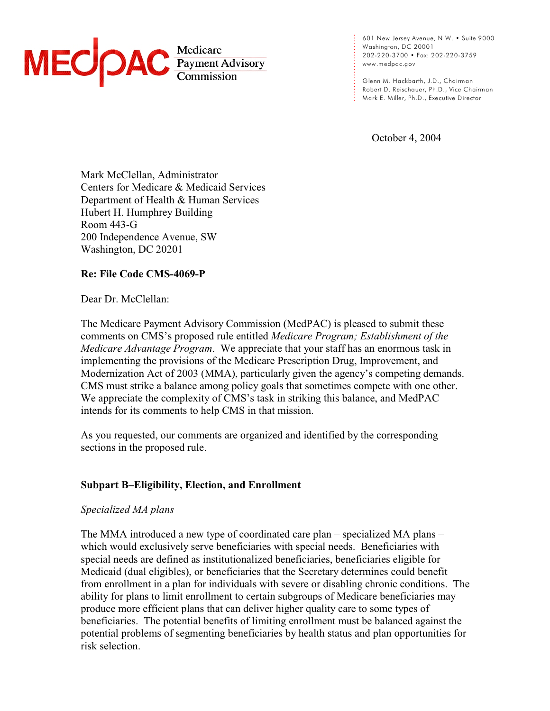

601 New Jersey Avenue, N.W. • Suite 9000 Washington, DC 20001 202-220-3700 • Fax: 202-220-3759 [www.medpac.gov](http://www.medpac.gov)

Glenn M. Hackbarth, J.D., Chairman Robert D. Reischauer, Ph.D., Vice Chairman Mark E. Miller, Ph.D., Executive Director

October 4, 2004

. . . . . . . . . . . . . .

. . . . . . . . . .

Mark McClellan, Administrator Centers for Medicare & Medicaid Services Department of Health & Human Services Hubert H. Humphrey Building Room 443-G 200 Independence Avenue, SW Washington, DC 20201

# **Re: File Code CMS-4069-P**

Dear Dr. McClellan:

The Medicare Payment Advisory Commission (MedPAC) is pleased to submit these comments on CMS's proposed rule entitled *Medicare Program; Establishment of the Medicare Advantage Program*. We appreciate that your staff has an enormous task in implementing the provisions of the Medicare Prescription Drug, Improvement, and Modernization Act of 2003 (MMA), particularly given the agency's competing demands. CMS must strike a balance among policy goals that sometimes compete with one other. We appreciate the complexity of CMS's task in striking this balance, and MedPAC intends for its comments to help CMS in that mission.

As you requested, our comments are organized and identified by the corresponding sections in the proposed rule.

# **Subpart B–Eligibility, Election, and Enrollment**

# *Specialized MA plans*

The MMA introduced a new type of coordinated care plan – specialized MA plans – which would exclusively serve beneficiaries with special needs. Beneficiaries with special needs are defined as institutionalized beneficiaries, beneficiaries eligible for Medicaid (dual eligibles), or beneficiaries that the Secretary determines could benefit from enrollment in a plan for individuals with severe or disabling chronic conditions. The ability for plans to limit enrollment to certain subgroups of Medicare beneficiaries may produce more efficient plans that can deliver higher quality care to some types of beneficiaries. The potential benefits of limiting enrollment must be balanced against the potential problems of segmenting beneficiaries by health status and plan opportunities for risk selection.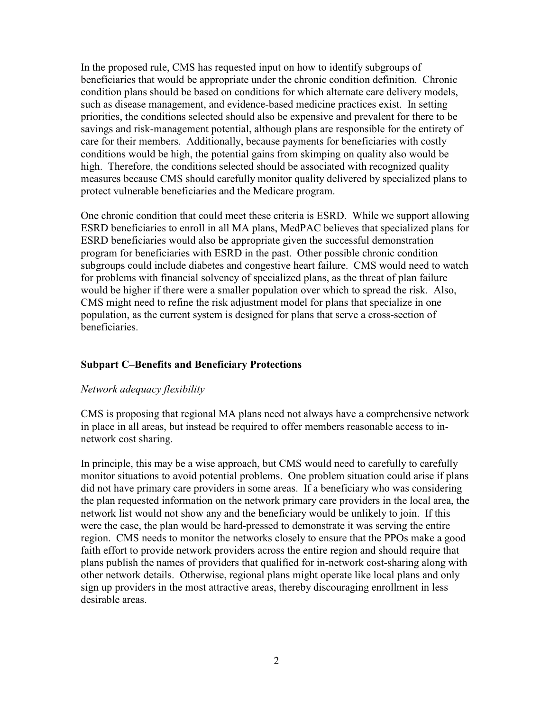In the proposed rule, CMS has requested input on how to identify subgroups of beneficiaries that would be appropriate under the chronic condition definition. Chronic condition plans should be based on conditions for which alternate care delivery models, such as disease management, and evidence-based medicine practices exist. In setting priorities, the conditions selected should also be expensive and prevalent for there to be savings and risk-management potential, although plans are responsible for the entirety of care for their members. Additionally, because payments for beneficiaries with costly conditions would be high, the potential gains from skimping on quality also would be high. Therefore, the conditions selected should be associated with recognized quality measures because CMS should carefully monitor quality delivered by specialized plans to protect vulnerable beneficiaries and the Medicare program.

One chronic condition that could meet these criteria is ESRD. While we support allowing ESRD beneficiaries to enroll in all MA plans, MedPAC believes that specialized plans for ESRD beneficiaries would also be appropriate given the successful demonstration program for beneficiaries with ESRD in the past. Other possible chronic condition subgroups could include diabetes and congestive heart failure. CMS would need to watch for problems with financial solvency of specialized plans, as the threat of plan failure would be higher if there were a smaller population over which to spread the risk. Also, CMS might need to refine the risk adjustment model for plans that specialize in one population, as the current system is designed for plans that serve a cross-section of beneficiaries.

# **Subpart C–Benefits and Beneficiary Protections**

## *Network adequacy flexibility*

CMS is proposing that regional MA plans need not always have a comprehensive network in place in all areas, but instead be required to offer members reasonable access to innetwork cost sharing.

In principle, this may be a wise approach, but CMS would need to carefully to carefully monitor situations to avoid potential problems. One problem situation could arise if plans did not have primary care providers in some areas. If a beneficiary who was considering the plan requested information on the network primary care providers in the local area, the network list would not show any and the beneficiary would be unlikely to join. If this were the case, the plan would be hard-pressed to demonstrate it was serving the entire region. CMS needs to monitor the networks closely to ensure that the PPOs make a good faith effort to provide network providers across the entire region and should require that plans publish the names of providers that qualified for in-network cost-sharing along with other network details. Otherwise, regional plans might operate like local plans and only sign up providers in the most attractive areas, thereby discouraging enrollment in less desirable areas.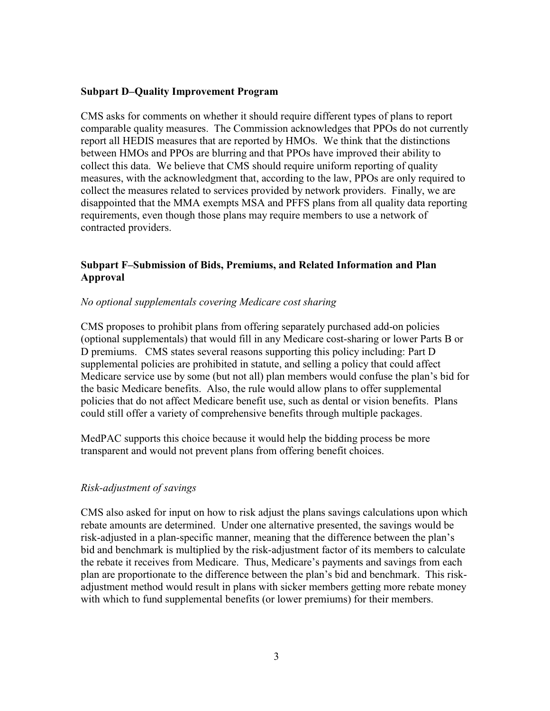# **Subpart D–Quality Improvement Program**

CMS asks for comments on whether it should require different types of plans to report comparable quality measures. The Commission acknowledges that PPOs do not currently report all HEDIS measures that are reported by HMOs. We think that the distinctions between HMOs and PPOs are blurring and that PPOs have improved their ability to collect this data. We believe that CMS should require uniform reporting of quality measures, with the acknowledgment that, according to the law, PPOs are only required to collect the measures related to services provided by network providers. Finally, we are disappointed that the MMA exempts MSA and PFFS plans from all quality data reporting requirements, even though those plans may require members to use a network of contracted providers.

# **Subpart F–Submission of Bids, Premiums, and Related Information and Plan Approval**

# *No optional supplementals covering Medicare cost sharing*

CMS proposes to prohibit plans from offering separately purchased add-on policies (optional supplementals) that would fill in any Medicare cost-sharing or lower Parts B or D premiums. CMS states several reasons supporting this policy including: Part D supplemental policies are prohibited in statute, and selling a policy that could affect Medicare service use by some (but not all) plan members would confuse the plan's bid for the basic Medicare benefits. Also, the rule would allow plans to offer supplemental policies that do not affect Medicare benefit use, such as dental or vision benefits. Plans could still offer a variety of comprehensive benefits through multiple packages.

MedPAC supports this choice because it would help the bidding process be more transparent and would not prevent plans from offering benefit choices.

# *Risk-adjustment of savings*

CMS also asked for input on how to risk adjust the plans savings calculations upon which rebate amounts are determined. Under one alternative presented, the savings would be risk-adjusted in a plan-specific manner, meaning that the difference between the plan's bid and benchmark is multiplied by the risk-adjustment factor of its members to calculate the rebate it receives from Medicare. Thus, Medicare's payments and savings from each plan are proportionate to the difference between the plan's bid and benchmark. This riskadjustment method would result in plans with sicker members getting more rebate money with which to fund supplemental benefits (or lower premiums) for their members.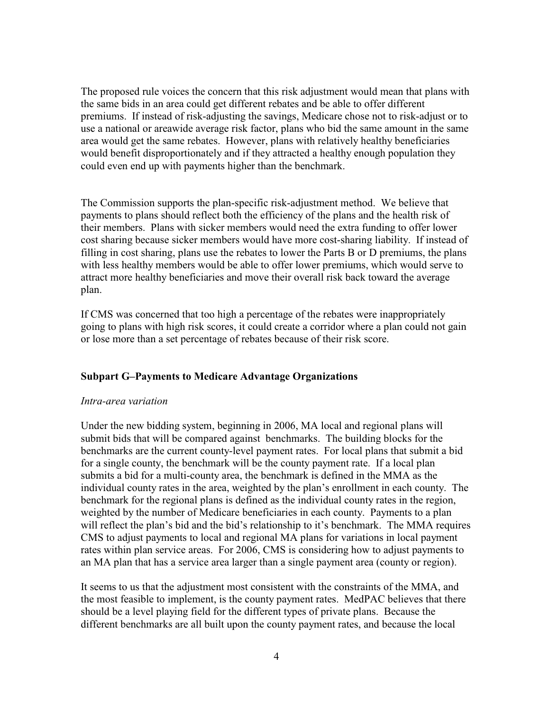The proposed rule voices the concern that this risk adjustment would mean that plans with the same bids in an area could get different rebates and be able to offer different premiums. If instead of risk-adjusting the savings, Medicare chose not to risk-adjust or to use a national or areawide average risk factor, plans who bid the same amount in the same area would get the same rebates. However, plans with relatively healthy beneficiaries would benefit disproportionately and if they attracted a healthy enough population they could even end up with payments higher than the benchmark.

The Commission supports the plan-specific risk-adjustment method. We believe that payments to plans should reflect both the efficiency of the plans and the health risk of their members. Plans with sicker members would need the extra funding to offer lower cost sharing because sicker members would have more cost-sharing liability. If instead of filling in cost sharing, plans use the rebates to lower the Parts B or D premiums, the plans with less healthy members would be able to offer lower premiums, which would serve to attract more healthy beneficiaries and move their overall risk back toward the average plan.

If CMS was concerned that too high a percentage of the rebates were inappropriately going to plans with high risk scores, it could create a corridor where a plan could not gain or lose more than a set percentage of rebates because of their risk score.

# **Subpart G–Payments to Medicare Advantage Organizations**

## *Intra-area variation*

Under the new bidding system, beginning in 2006, MA local and regional plans will submit bids that will be compared against benchmarks. The building blocks for the benchmarks are the current county-level payment rates. For local plans that submit a bid for a single county, the benchmark will be the county payment rate. If a local plan submits a bid for a multi-county area, the benchmark is defined in the MMA as the individual county rates in the area, weighted by the plan's enrollment in each county. The benchmark for the regional plans is defined as the individual county rates in the region, weighted by the number of Medicare beneficiaries in each county. Payments to a plan will reflect the plan's bid and the bid's relationship to it's benchmark. The MMA requires CMS to adjust payments to local and regional MA plans for variations in local payment rates within plan service areas. For 2006, CMS is considering how to adjust payments to an MA plan that has a service area larger than a single payment area (county or region).

It seems to us that the adjustment most consistent with the constraints of the MMA, and the most feasible to implement, is the county payment rates. MedPAC believes that there should be a level playing field for the different types of private plans. Because the different benchmarks are all built upon the county payment rates, and because the local